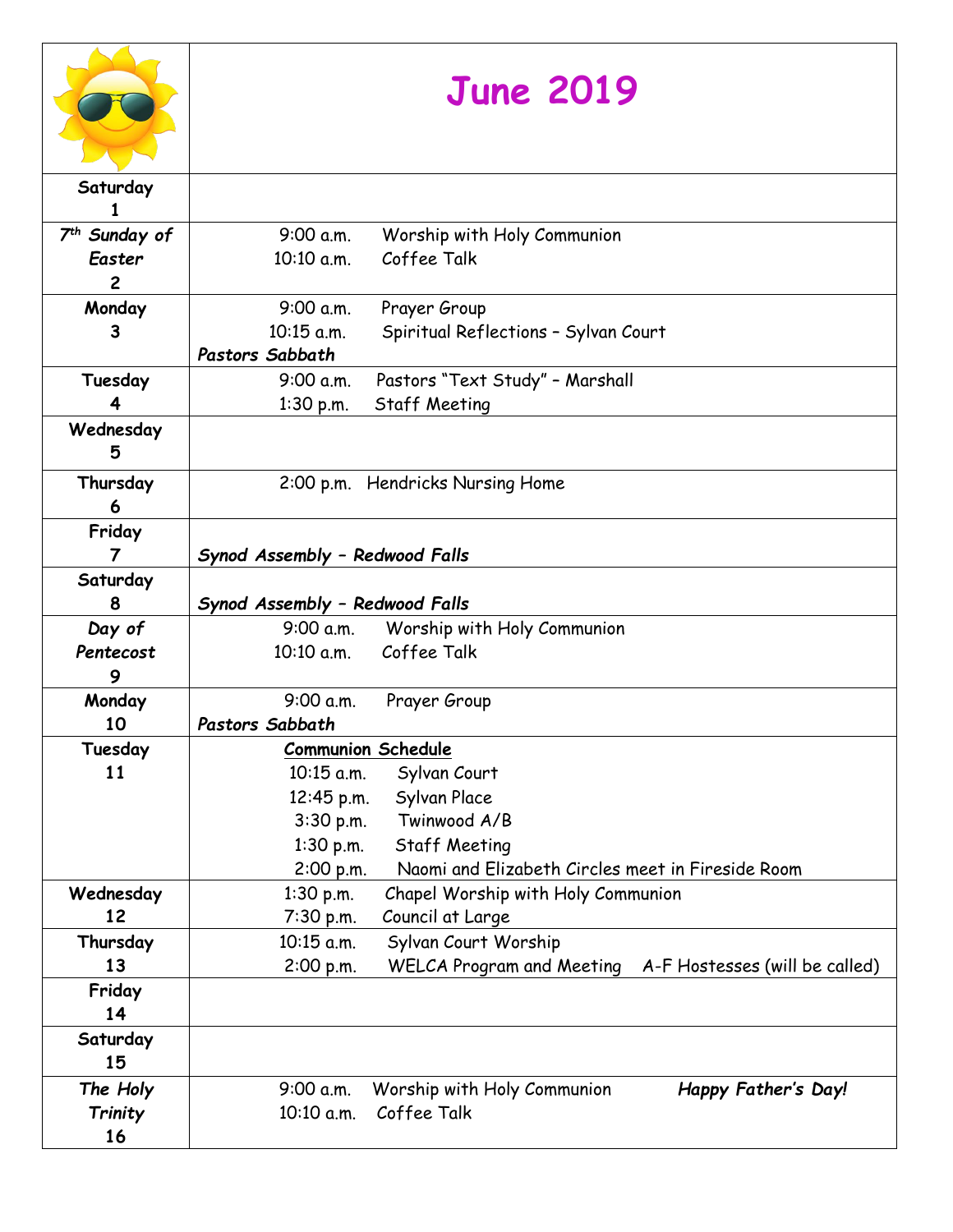|                           | <b>June 2019</b>                                                                             |
|---------------------------|----------------------------------------------------------------------------------------------|
| Saturday                  |                                                                                              |
| 7 <sup>th</sup> Sunday of | 9:00 a.m.<br>Worship with Holy Communion                                                     |
| Easter                    | Coffee Talk<br>10:10 a.m.                                                                    |
| $\overline{c}$            |                                                                                              |
| Monday                    | 9:00 a.m.<br>Prayer Group                                                                    |
| 3                         | 10:15 a.m.<br>Spiritual Reflections - Sylvan Court                                           |
|                           | Pastors Sabbath                                                                              |
| Tuesday                   | Pastors "Text Study" - Marshall<br>9:00 a.m.                                                 |
|                           | <b>Staff Meeting</b><br>1:30 p.m.                                                            |
| Wednesday<br>5            |                                                                                              |
| Thursday                  | 2:00 p.m. Hendricks Nursing Home                                                             |
| 6                         |                                                                                              |
| Friday                    |                                                                                              |
| $\overline{7}$            | Synod Assembly - Redwood Falls                                                               |
| Saturday                  |                                                                                              |
| 8                         | Synod Assembly - Redwood Falls                                                               |
| Day of                    | 9:00 a.m.<br>Worship with Holy Communion                                                     |
| Pentecost                 | Coffee Talk<br>10:10 a.m.                                                                    |
| 9                         |                                                                                              |
| Monday                    | 9:00 a.m.<br>Prayer Group                                                                    |
| 10                        | Pastors Sabbath                                                                              |
| Tuesday                   | <b>Communion Schedule</b>                                                                    |
| 11                        | 10:15 a.m.<br>Sylvan Court                                                                   |
|                           | Sylvan Place<br>12:45 p.m.                                                                   |
|                           | Twinwood A/B<br>$3:30$ p.m.                                                                  |
|                           | <b>Staff Meeting</b><br>$1:30$ p.m.                                                          |
|                           | Naomi and Elizabeth Circles meet in Fireside Room<br>2:00 p.m.                               |
| Wednesday                 | Chapel Worship with Holy Communion<br>$1:30$ p.m.                                            |
| 12                        | 7:30 p.m.<br>Council at Large                                                                |
| Thursday                  | Sylvan Court Worship<br>10:15 a.m.                                                           |
| 13<br>Friday              | <b>WELCA Program and Meeting</b><br>A-F Hostesses (will be called)<br>2:00 p.m.              |
| 14                        |                                                                                              |
| Saturday<br>15            |                                                                                              |
| The Holy<br>Trinity<br>16 | Worship with Holy Communion<br>Happy Father's Day!<br>9:00 a.m.<br>Coffee Talk<br>10:10 a.m. |